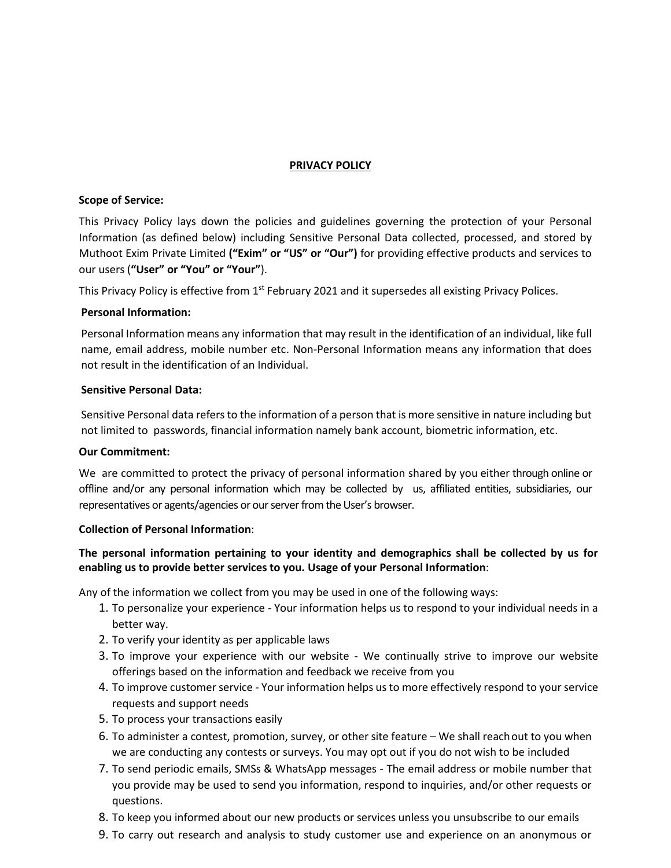#### **PRIVACY POLICY**

#### **Scope of Service:**

This Privacy Policy lays down the policies and guidelines governing the protection of your Personal Information (as defined below) including Sensitive Personal Data collected, processed, and stored by Muthoot Exim Private Limited **("Exim" or "US" or "Our")** for providing effective products and services to our users (**"User" or "You" or "Your"**).

This Privacy Policy is effective from 1<sup>st</sup> February 2021 and it supersedes all existing Privacy Polices.

#### **Personal Information:**

Personal Information means any information that may result in the identification of an individual, like full name, email address, mobile number etc. Non-Personal Information means any information that does not result in the identification of an Individual.

#### **Sensitive Personal Data:**

Sensitive Personal data refers to the information of a person that is more sensitive in nature including but not limited to passwords, financial information namely bank account, biometric information, etc.

#### **Our Commitment:**

We are committed to protect the privacy of personal information shared by you either through online or offline and/or any personal information which may be collected by us, affiliated entities, subsidiaries, our representatives or agents/agencies or our server from the User's browser.

### **Collection of Personal Information**:

# **The personal information pertaining to your identity and demographics shall be collected by us for enabling us to provide better services to you. Usage of your Personal Information**:

Any of the information we collect from you may be used in one of the following ways:

- 1. To personalize your experience Your information helps us to respond to your individual needs in a better way.
- 2. To verify your identity as per applicable laws
- 3. To improve your experience with our website We continually strive to improve our website offerings based on the information and feedback we receive from you
- 4. To improve customer service Your information helps us to more effectively respond to your service requests and support needs
- 5. To process your transactions easily
- 6. To administer a contest, promotion, survey, or other site feature We shall reachout to you when we are conducting any contests or surveys. You may opt out if you do not wish to be included
- 7. To send periodic emails, SMSs & WhatsApp messages The email address or mobile number that you provide may be used to send you information, respond to inquiries, and/or other requests or questions.
- 8. To keep you informed about our new products or services unless you unsubscribe to our emails
- 9. To carry out research and analysis to study customer use and experience on an anonymous or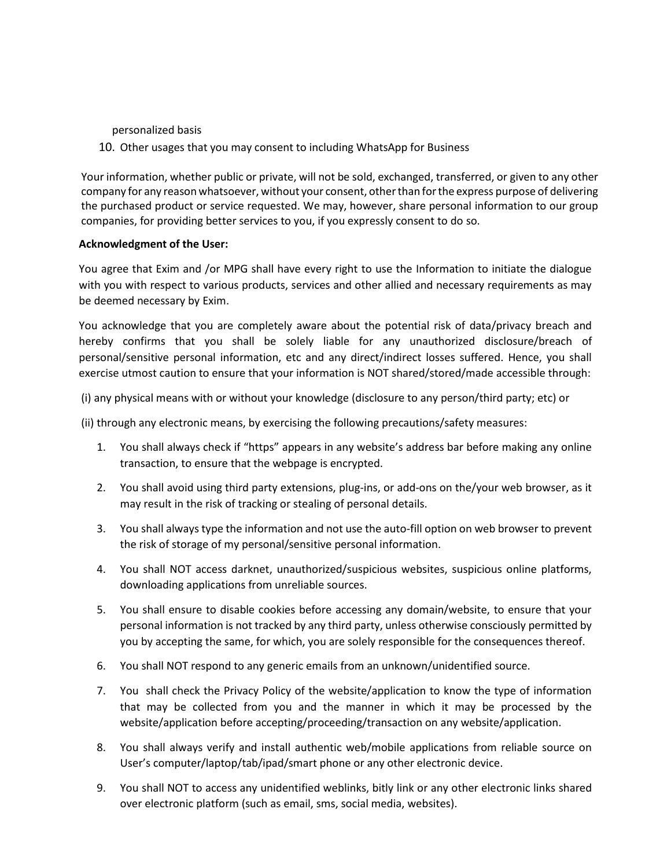personalized basis

10. Other usages that you may consent to including WhatsApp for Business

Your information, whether public or private, will not be sold, exchanged, transferred, or given to any other company for any reason whatsoever, without your consent, otherthan forthe express purpose of delivering the purchased product or service requested. We may, however, share personal information to our group companies, for providing better services to you, if you expressly consent to do so.

### **Acknowledgment of the User:**

You agree that Exim and /or MPG shall have every right to use the Information to initiate the dialogue with you with respect to various products, services and other allied and necessary requirements as may be deemed necessary by Exim.

You acknowledge that you are completely aware about the potential risk of data/privacy breach and hereby confirms that you shall be solely liable for any unauthorized disclosure/breach of personal/sensitive personal information, etc and any direct/indirect losses suffered. Hence, you shall exercise utmost caution to ensure that your information is NOT shared/stored/made accessible through:

(i) any physical means with or without your knowledge (disclosure to any person/third party; etc) or

(ii) through any electronic means, by exercising the following precautions/safety measures:

- 1. You shall always check if "https" appears in any website's address bar before making any online transaction, to ensure that the webpage is encrypted.
- 2. You shall avoid using third party extensions, plug-ins, or add-ons on the/your web browser, as it may result in the risk of tracking or stealing of personal details.
- 3. You shall always type the information and not use the auto-fill option on web browser to prevent the risk of storage of my personal/sensitive personal information.
- 4. You shall NOT access darknet, unauthorized/suspicious websites, suspicious online platforms, downloading applications from unreliable sources.
- 5. You shall ensure to disable cookies before accessing any domain/website, to ensure that your personal information is not tracked by any third party, unless otherwise consciously permitted by you by accepting the same, for which, you are solely responsible for the consequences thereof.
- 6. You shall NOT respond to any generic emails from an unknown/unidentified source.
- 7. You shall check the Privacy Policy of the website/application to know the type of information that may be collected from you and the manner in which it may be processed by the website/application before accepting/proceeding/transaction on any website/application.
- 8. You shall always verify and install authentic web/mobile applications from reliable source on User's computer/laptop/tab/ipad/smart phone or any other electronic device.
- 9. You shall NOT to access any unidentified weblinks, bitly link or any other electronic links shared over electronic platform (such as email, sms, social media, websites).